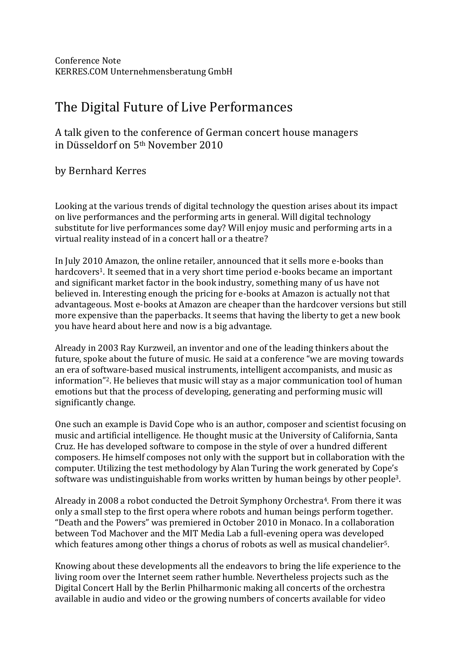Conference Note KERRES.COM Unternehmensberatung GmbH

## The Digital Future of Live Performances

## A talk given to the conference of German concert house managers in Düsseldorf on 5<sup>th</sup> November 2010

by Bernhard Kerres

Looking at the various trends of digital technology the question arises about its impact on live performances and the performing arts in general. Will digital technology substitute for live performances some day? Will enjoy music and performing arts in a virtual reality instead of in a concert hall or a theatre?

In July 2010 Amazon, the online retailer, announced that it sells more e-books than hardcovers<sup>1</sup>. It seemed that in a very short time period e-books became an important and significant market factor in the book industry, something many of us have not believed in. Interesting enough the pricing for e-books at Amazon is actually not that advantageous. Most e-books at Amazon are cheaper than the hardcover versions but still more expensive than the paperbacks. It seems that having the liberty to get a new book you have heard about here and now is a big advantage.

Already in 2003 Ray Kurzweil, an inventor and one of the leading thinkers about the future, spoke about the future of music. He said at a conference "we are moving towards an era of software-based musical instruments, intelligent accompanists, and music as information"<sup>2</sup>. He believes that music will stay as a major communication tool of human emotions but that the process of developing, generating and performing music will significantly change.

One such an example is David Cope who is an author, composer and scientist focusing on music and artificial intelligence. He thought music at the University of California, Santa Cruz. He has developed software to compose in the style of over a hundred different composers. He himself composes not only with the support but in collaboration with the computer. Utilizing the test methodology by Alan Turing the work generated by Cope's software was undistinguishable from works written by human beings by other people<sup>3</sup>.

Already in 2008 a robot conducted the Detroit Symphony Orchestra<sup>4</sup>. From there it was only a small step to the first opera where robots and human beings perform together. "Death and the Powers" was premiered in October 2010 in Monaco. In a collaboration between Tod Machover and the MIT Media Lab a full-evening opera was developed which features among other things a chorus of robots as well as musical chandelier<sup>5</sup>.

Knowing about these developments all the endeavors to bring the life experience to the living room over the Internet seem rather humble. Nevertheless projects such as the Digital Concert Hall by the Berlin Philharmonic making all concerts of the orchestra available in audio and video or the growing numbers of concerts available for video